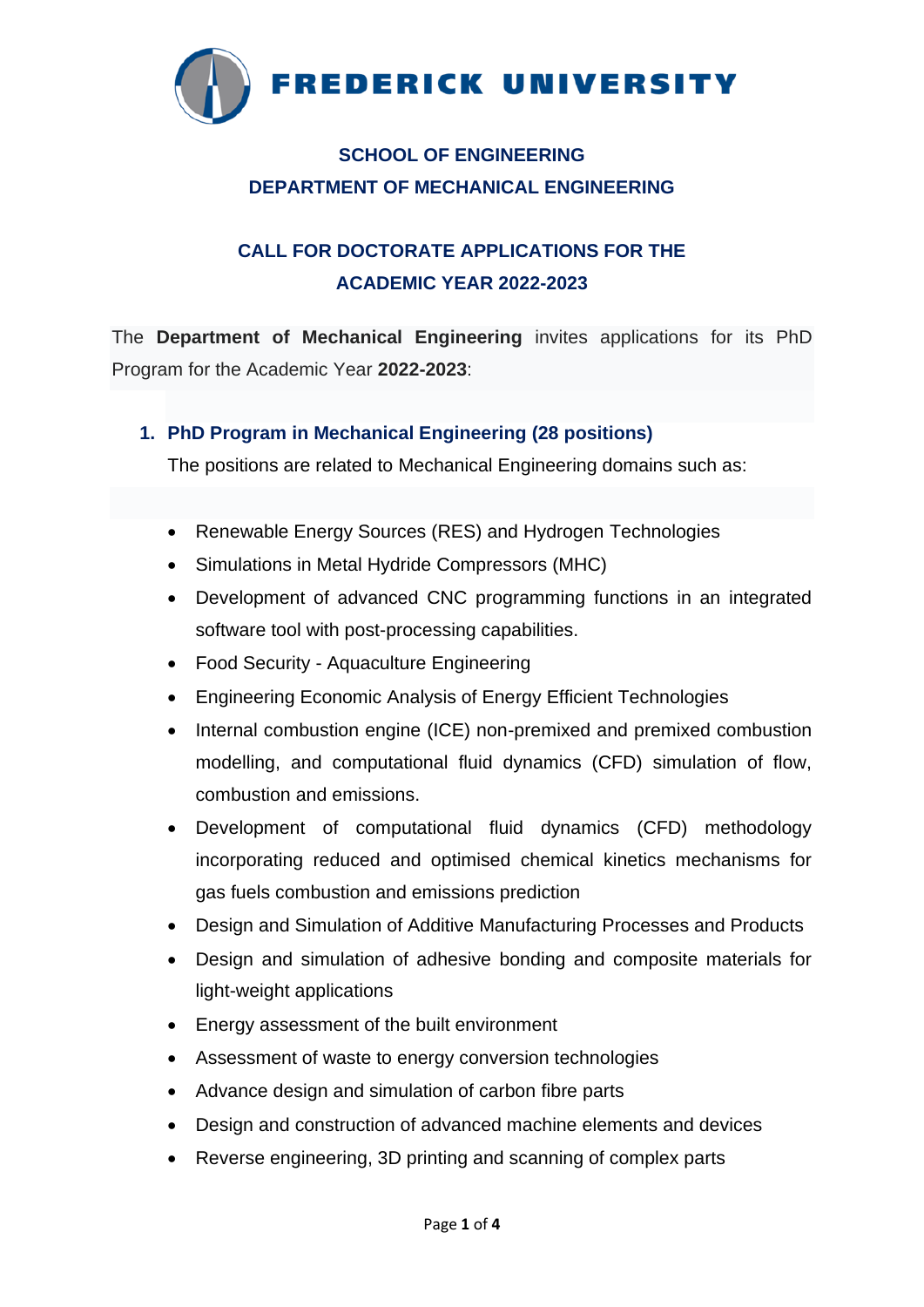

# **SCHOOL OF ENGINEERING DEPARTMENT OF MECHANICAL ENGINEERING**

# **CALL FOR DOCTORATE APPLICATIONS FOR THE ACADEMIC YEAR 2022-2023**

The **Department of Mechanical Engineering** invites applications for its PhD Program for the Academic Year **2022-2023**:

### **1. PhD Program in Mechanical Engineering (28 positions)**

The positions are related to Mechanical Engineering domains such as:

- Renewable Energy Sources (RES) and Hydrogen Technologies
- Simulations in Metal Hydride Compressors (MHC)
- Development of advanced CNC programming functions in an integrated software tool with post-processing capabilities.
- Food Security Aquaculture Engineering
- Engineering Economic Analysis of Energy Efficient Technologies
- Internal combustion engine (ICE) non-premixed and premixed combustion modelling, and computational fluid dynamics (CFD) simulation of flow, combustion and emissions.
- Development of computational fluid dynamics (CFD) methodology incorporating reduced and optimised chemical kinetics mechanisms for gas fuels combustion and emissions prediction
- Design and Simulation of Additive Manufacturing Processes and Products
- Design and simulation of adhesive bonding and composite materials for light-weight applications
- Energy assessment of the built environment
- Assessment of waste to energy conversion technologies
- Advance design and simulation of carbon fibre parts
- Design and construction of advanced machine elements and devices
- Reverse engineering, 3D printing and scanning of complex parts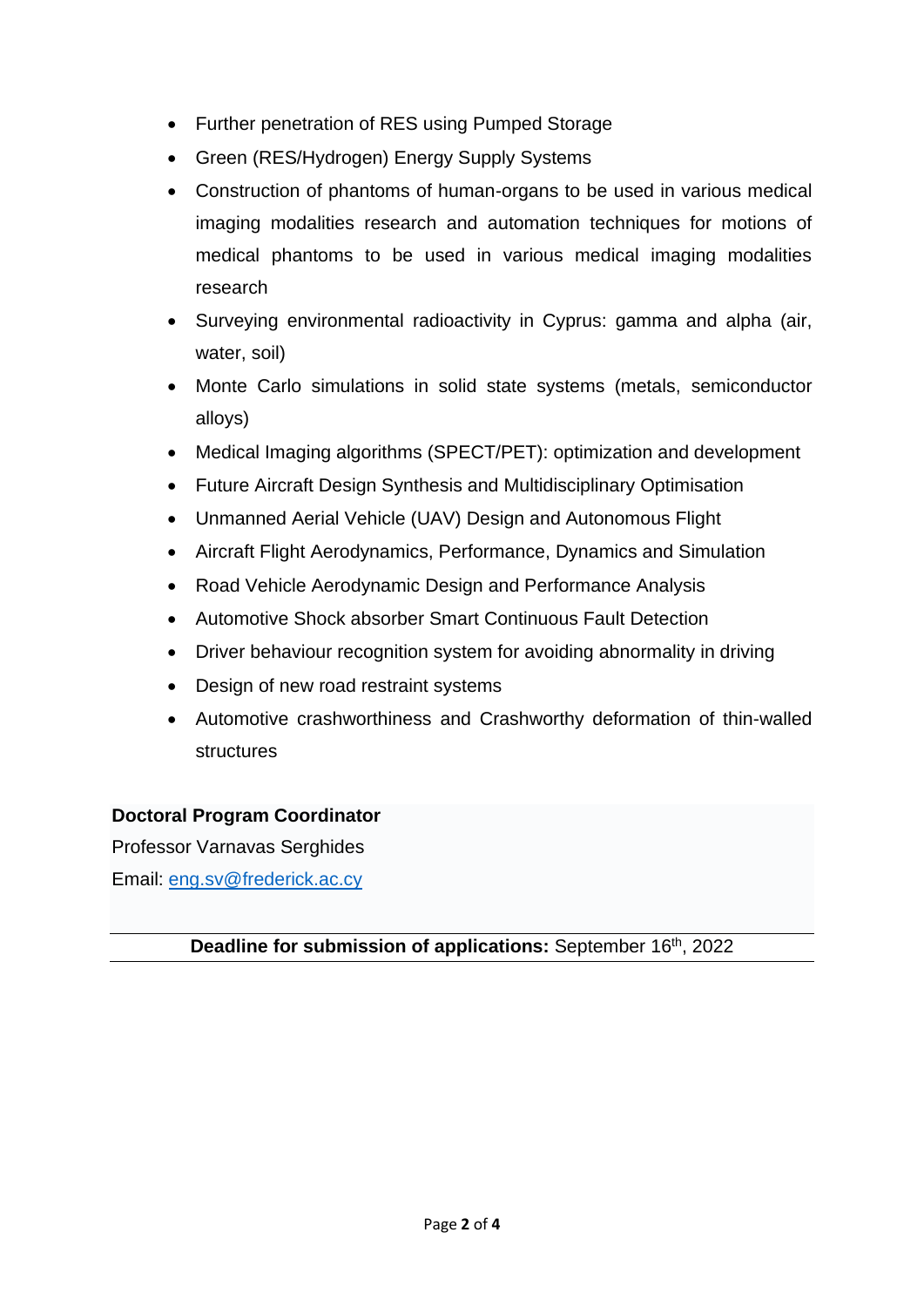- Further penetration of RES using Pumped Storage
- Green (RES/Hydrogen) Energy Supply Systems
- Construction of phantoms of human-organs to be used in various medical imaging modalities research and automation techniques for motions of medical phantoms to be used in various medical imaging modalities research
- Surveying environmental radioactivity in Cyprus: gamma and alpha (air, water, soil)
- Monte Carlo simulations in solid state systems (metals, semiconductor alloys)
- Medical Imaging algorithms (SPECT/PET): optimization and development
- Future Aircraft Design Synthesis and Multidisciplinary Optimisation
- Unmanned Aerial Vehicle (UAV) Design and Autonomous Flight
- Aircraft Flight Aerodynamics, Performance, Dynamics and Simulation
- Road Vehicle Aerodynamic Design and Performance Analysis
- Automotive Shock absorber Smart Continuous Fault Detection
- Driver behaviour recognition system for avoiding abnormality in driving
- Design of new road restraint systems
- Automotive crashworthiness and Crashworthy deformation of thin-walled structures

## **Doctoral Program Coordinator**

Professor Varnavas Serghides Email: [eng.sv@frederick.ac.cy](mailto:eng.sv@frederick.ac.cy)

## **Deadline for submission of applications:** September 16<sup>th</sup>, 2022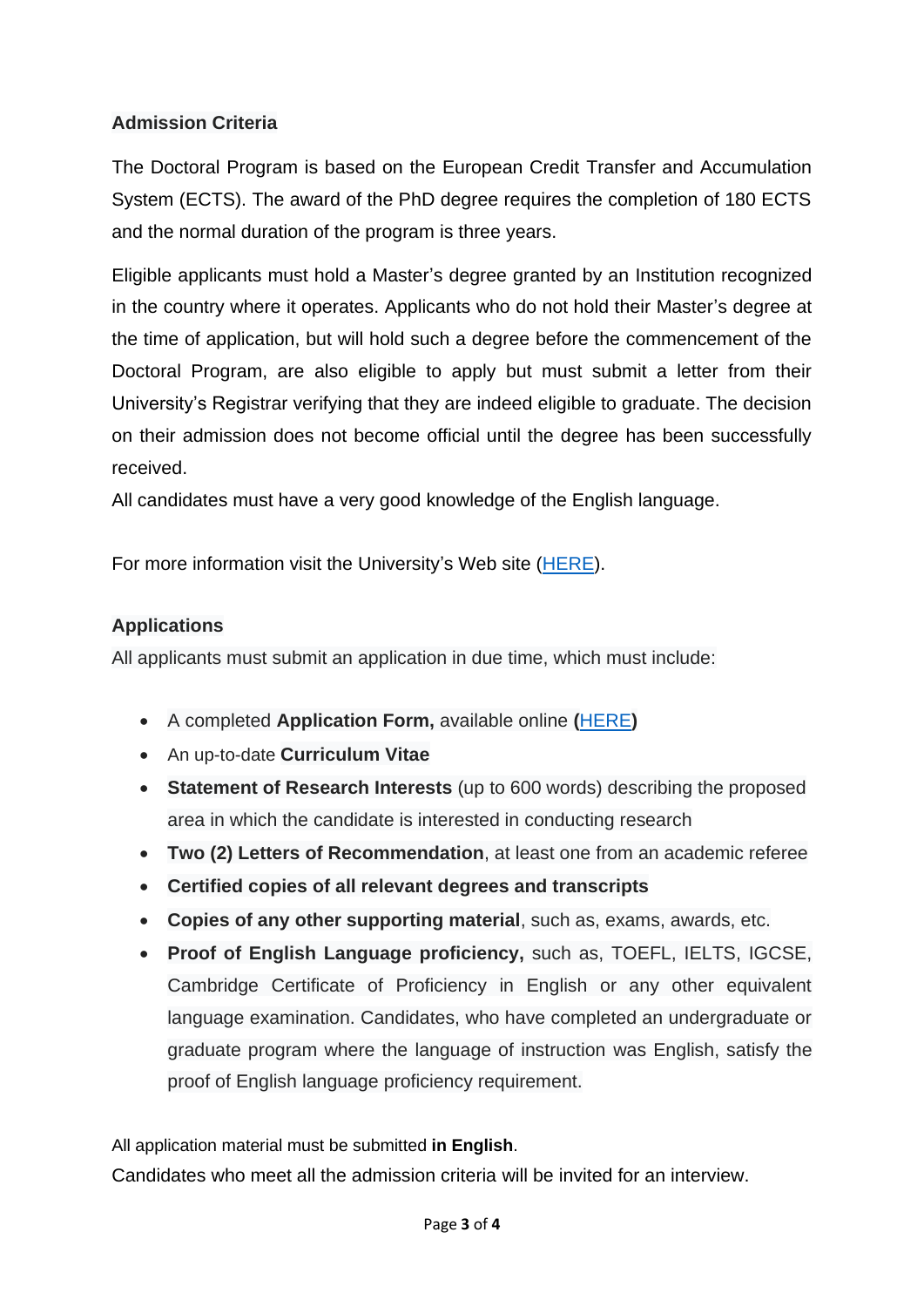## **Admission Criteria**

The Doctoral Program is based on the European Credit Transfer and Accumulation System (ECTS). The award of the PhD degree requires the completion of 180 ECTS and the normal duration of the program is three years.

Eligible applicants must hold a Master's degree granted by an Institution recognized in the country where it operates. Applicants who do not hold their Master's degree at the time of application, but will hold such a degree before the commencement of the Doctoral Program, are also eligible to apply but must submit a letter from their University's Registrar verifying that they are indeed eligible to graduate. The decision on their admission does not become official until the degree has been successfully received.

All candidates must have a very good knowledge of the English language.

For more information visit the University's Web site [\(HERE\)](http://www.frederick.ac.cy/doctoral/index.php?option=com_content&view=article&id=5&Itemid=107).

### **Applications**

All applicants must submit an application in due time, which must include:

- A completed **Application Form,** available online **(**[HERE](http://www.frederick.ac.cy/fu_documents/application_form.pdf)**)**
- An up-to-date **Curriculum Vitae**
- **Statement of Research Interests** (up to 600 words) describing the proposed area in which the candidate is interested in conducting research
- **Two (2) Letters of Recommendation**, at least one from an academic referee
- **Certified copies of all relevant degrees and transcripts**
- **Copies of any other supporting material**, such as, exams, awards, etc.
- **Proof of English Language proficiency,** such as, TOEFL, IELTS, IGCSE, Cambridge Certificate of Proficiency in English or any other equivalent language examination. Candidates, who have completed an undergraduate or graduate program where the language of instruction was English, satisfy the proof of English language proficiency requirement.

All application material must be submitted **in English**.

Candidates who meet all the admission criteria will be invited for an interview.